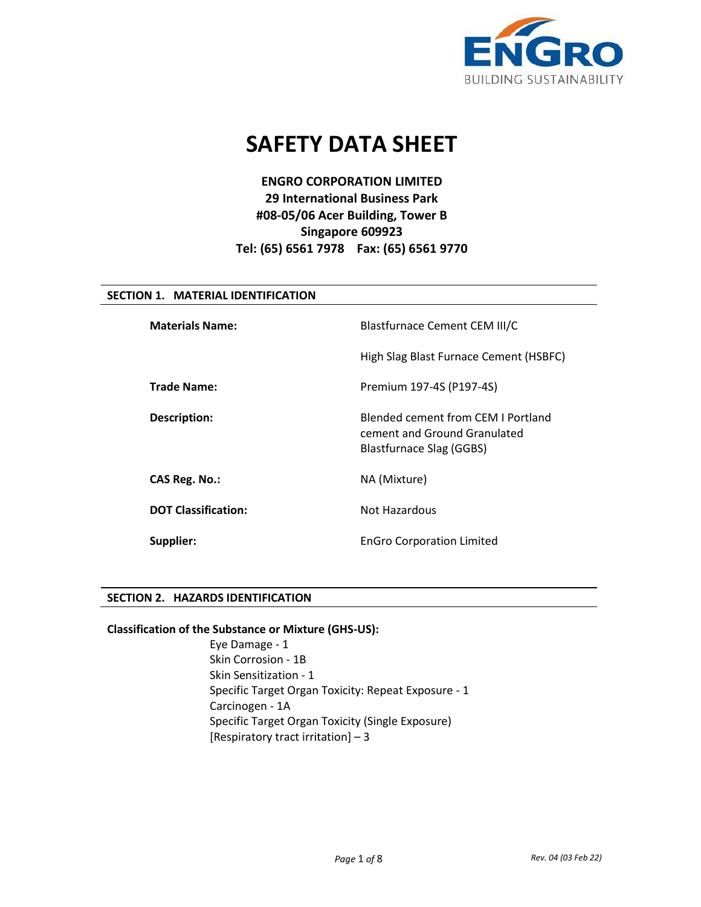

# **SAFETY DATA SHEET**

# **ENGRO CORPORATION LIMITED 29 International Business Park #08-05/06 Acer Building, Tower B Singapore 609923 Tel: (65) 6561 7978 Fax: (65) 6561 9770**

# **SECTION 1. MATERIAL IDENTIFICATION**

| <b>Materials Name:</b>     | <b>Blastfurnace Cement CEM III/C</b>                                                           |  |
|----------------------------|------------------------------------------------------------------------------------------------|--|
|                            | High Slag Blast Furnace Cement (HSBFC)                                                         |  |
| <b>Trade Name:</b>         | Premium 197-4S (P197-4S)                                                                       |  |
| <b>Description:</b>        | Blended cement from CEM I Portland<br>cement and Ground Granulated<br>Blastfurnace Slag (GGBS) |  |
| CAS Reg. No.:              | NA (Mixture)                                                                                   |  |
| <b>DOT Classification:</b> | Not Hazardous                                                                                  |  |
| Supplier:                  | <b>EnGro Corporation Limited</b>                                                               |  |

# **SECTION 2. HAZARDS IDENTIFICATION**

#### **Classification of the Substance or Mixture (GHS-US):**

Eye Damage - 1 Skin Corrosion - 1B Skin Sensitization - 1 Specific Target Organ Toxicity: Repeat Exposure - 1 Carcinogen - 1A Specific Target Organ Toxicity (Single Exposure) [Respiratory tract irritation] – 3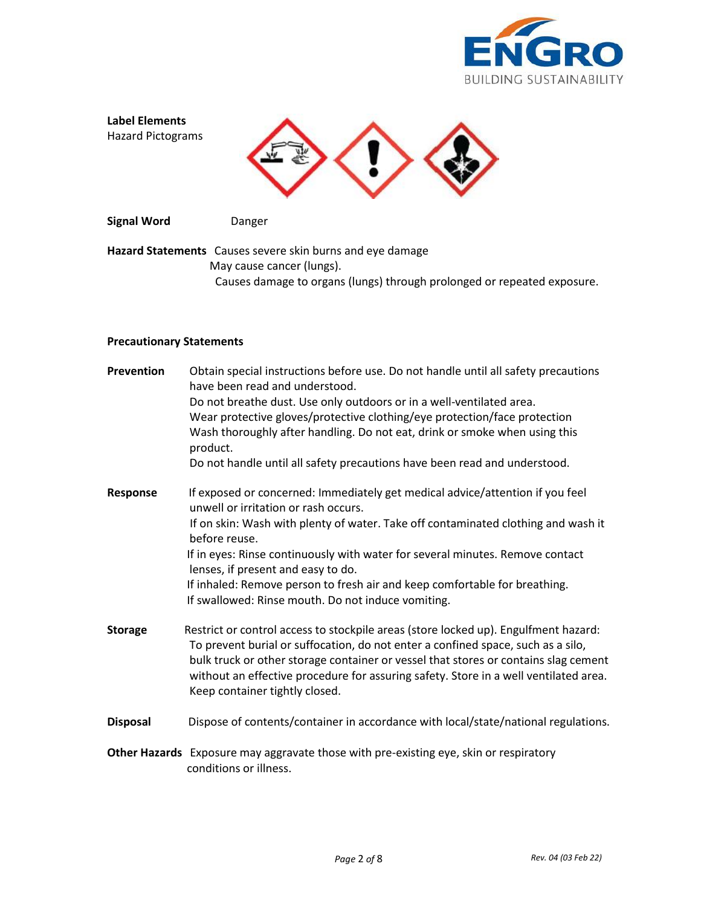



# **Precautionary Statements**

| Prevention      | Obtain special instructions before use. Do not handle until all safety precautions<br>have been read and understood.<br>Do not breathe dust. Use only outdoors or in a well-ventilated area.<br>Wear protective gloves/protective clothing/eye protection/face protection<br>Wash thoroughly after handling. Do not eat, drink or smoke when using this<br>product.<br>Do not handle until all safety precautions have been read and understood.                                       |
|-----------------|----------------------------------------------------------------------------------------------------------------------------------------------------------------------------------------------------------------------------------------------------------------------------------------------------------------------------------------------------------------------------------------------------------------------------------------------------------------------------------------|
| <b>Response</b> | If exposed or concerned: Immediately get medical advice/attention if you feel<br>unwell or irritation or rash occurs.<br>If on skin: Wash with plenty of water. Take off contaminated clothing and wash it<br>before reuse.<br>If in eyes: Rinse continuously with water for several minutes. Remove contact<br>lenses, if present and easy to do.<br>If inhaled: Remove person to fresh air and keep comfortable for breathing.<br>If swallowed: Rinse mouth. Do not induce vomiting. |
| <b>Storage</b>  | Restrict or control access to stockpile areas (store locked up). Engulfment hazard:<br>To prevent burial or suffocation, do not enter a confined space, such as a silo,<br>bulk truck or other storage container or vessel that stores or contains slag cement<br>without an effective procedure for assuring safety. Store in a well ventilated area.<br>Keep container tightly closed.                                                                                               |
| <b>Disposal</b> | Dispose of contents/container in accordance with local/state/national regulations.                                                                                                                                                                                                                                                                                                                                                                                                     |
|                 | Other Hazards Exposure may aggravate those with pre-existing eye, skin or respiratory<br>conditions or illness.                                                                                                                                                                                                                                                                                                                                                                        |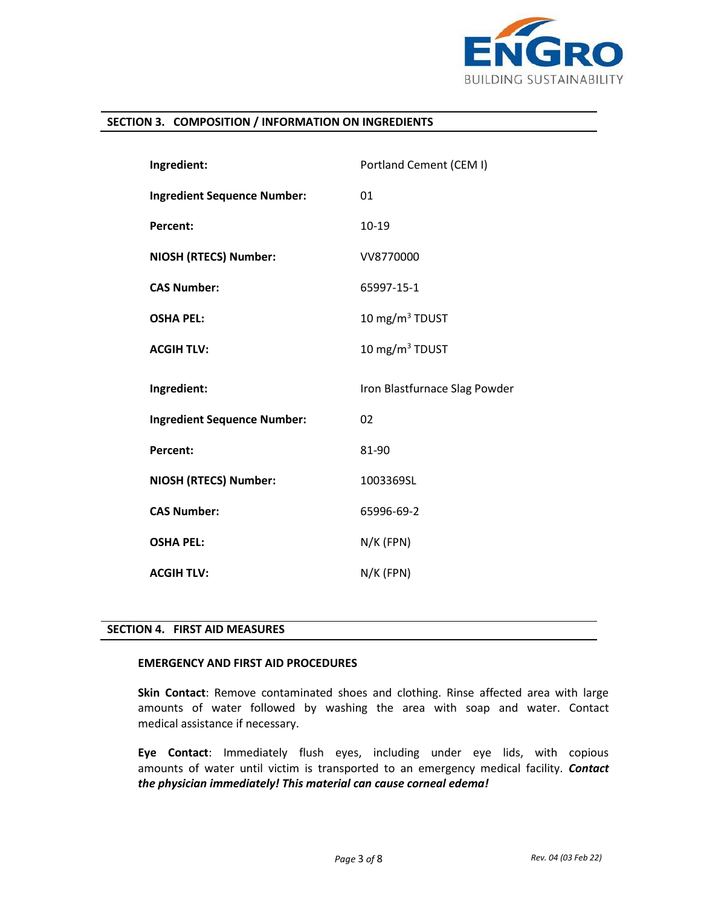

# **SECTION 3. COMPOSITION / INFORMATION ON INGREDIENTS**

| Ingredient:                        | Portland Cement (CEM I)       |  |
|------------------------------------|-------------------------------|--|
| <b>Ingredient Sequence Number:</b> | 01                            |  |
| <b>Percent:</b>                    | $10 - 19$                     |  |
| <b>NIOSH (RTECS) Number:</b>       | VV8770000                     |  |
| <b>CAS Number:</b>                 | 65997-15-1                    |  |
| <b>OSHA PEL:</b>                   | 10 mg/m $3$ TDUST             |  |
| <b>ACGIH TLV:</b>                  | 10 mg/m <sup>3</sup> TDUST    |  |
|                                    |                               |  |
| Ingredient:                        | Iron Blastfurnace Slag Powder |  |
| <b>Ingredient Sequence Number:</b> | 02                            |  |
| <b>Percent:</b>                    | 81-90                         |  |
| <b>NIOSH (RTECS) Number:</b>       | 1003369SL                     |  |
| <b>CAS Number:</b>                 | 65996-69-2                    |  |
| <b>OSHA PEL:</b>                   | $N/K$ (FPN)                   |  |

## **SECTION 4. FIRST AID MEASURES**

# **EMERGENCY AND FIRST AID PROCEDURES**

**Skin Contact**: Remove contaminated shoes and clothing. Rinse affected area with large amounts of water followed by washing the area with soap and water. Contact medical assistance if necessary.

**Eye Contact**: Immediately flush eyes, including under eye lids, with copious amounts of water until victim is transported to an emergency medical facility. *Contact the physician immediately! This material can cause corneal edema!*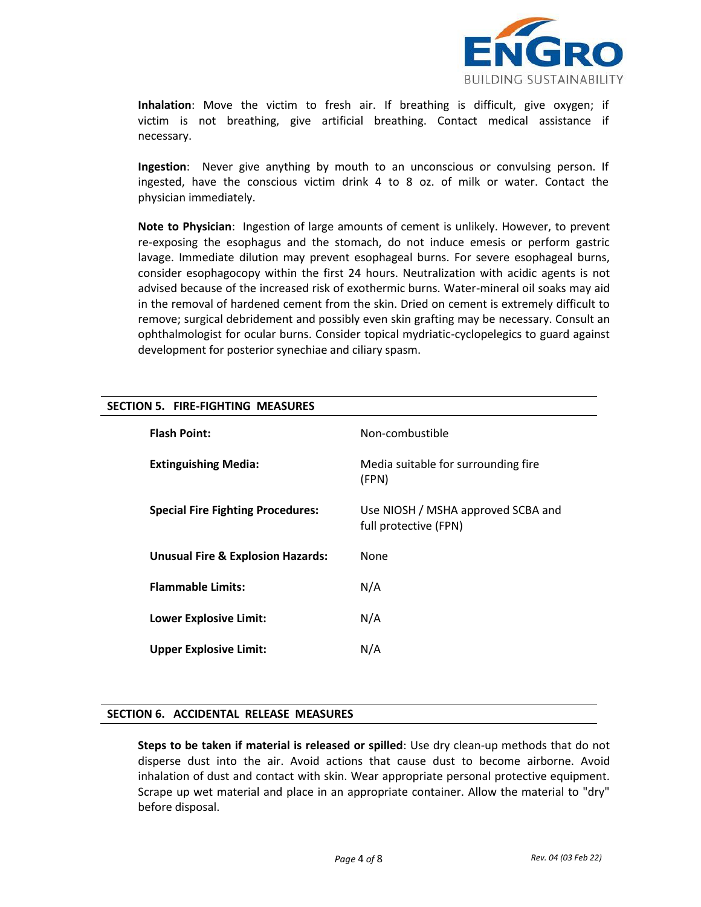

**Inhalation**: Move the victim to fresh air. If breathing is difficult, give oxygen; if victim is not breathing, give artificial breathing. Contact medical assistance if necessary.

**Ingestion**:Never give anything by mouth to an unconscious or convulsing person. If ingested, have the conscious victim drink 4 to 8 oz. of milk or water. Contact the physician immediately.

**Note to Physician**:Ingestion of large amounts of cement is unlikely. However, to prevent re-exposing the esophagus and the stomach, do not induce emesis or perform gastric lavage. Immediate dilution may prevent esophageal burns. For severe esophageal burns, consider esophagocopy within the first 24 hours. Neutralization with acidic agents is not advised because of the increased risk of exothermic burns. Water-mineral oil soaks may aid in the removal of hardened cement from the skin. Dried on cement is extremely difficult to remove; surgical debridement and possibly even skin grafting may be necessary. Consult an ophthalmologist for ocular burns. Consider topical mydriatic-cyclopelegics to guard against development for posterior synechiae and ciliary spasm.

| <b>Flash Point:</b>                          | Non-combustible                                             |
|----------------------------------------------|-------------------------------------------------------------|
| <b>Extinguishing Media:</b>                  | Media suitable for surrounding fire<br>(FPN)                |
| <b>Special Fire Fighting Procedures:</b>     | Use NIOSH / MSHA approved SCBA and<br>full protective (FPN) |
| <b>Unusual Fire &amp; Explosion Hazards:</b> | None                                                        |
| <b>Flammable Limits:</b>                     | N/A                                                         |
| <b>Lower Explosive Limit:</b>                | N/A                                                         |
| <b>Upper Explosive Limit:</b>                | N/A                                                         |

# **SECTION 5. FIRE-FIGHTING MEASURES**

## **SECTION 6. ACCIDENTAL RELEASE MEASURES**

**Steps to be taken if material is released or spilled**: Use dry clean-up methods that do not disperse dust into the air. Avoid actions that cause dust to become airborne. Avoid inhalation of dust and contact with skin. Wear appropriate personal protective equipment. Scrape up wet material and place in an appropriate container. Allow the material to "dry" before disposal.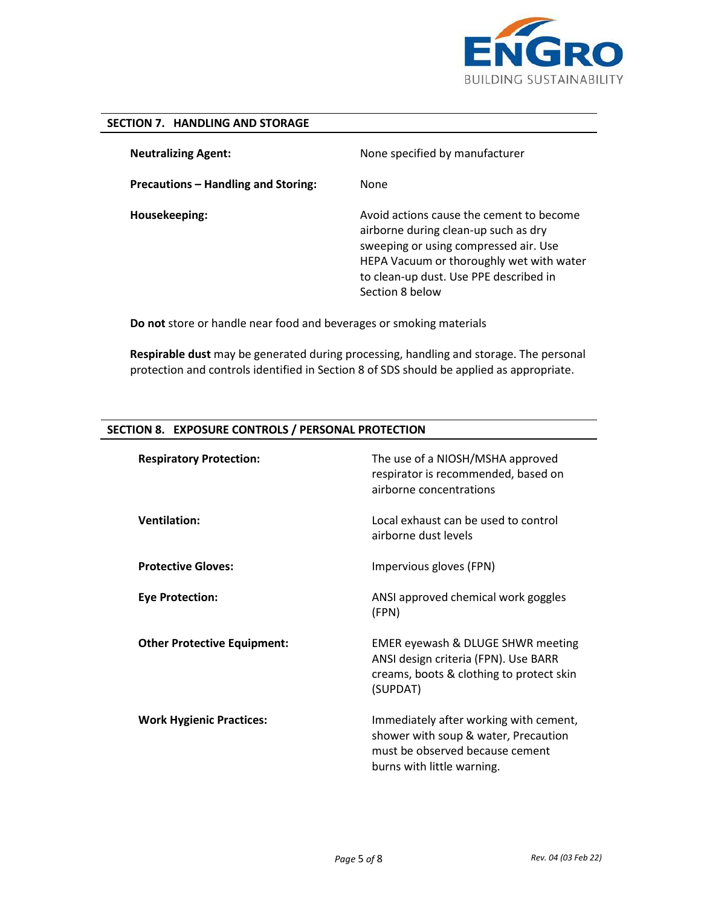

HEPA Vacuum or thoroughly wet with water to clean-up dust. Use PPE described in

# **SECTION 7. HANDLING AND STORAGE**

**Neutralizing Agent: Precautions – Handling and Storing: Housekeeping:** None specified by manufacturer None Avoid actions cause the cement to become airborne during clean-up such as dry sweeping or using compressed air. Use

 **Do not** store or handle near food and beverages or smoking materials

 **Respirable dust** may be generated during processing, handling and storage. The personal protection and controls identified in Section 8 of SDS should be applied as appropriate.

Section 8 below

| <b>Respiratory Protection:</b>     | The use of a NIOSH/MSHA approved<br>respirator is recommended, based on<br>airborne concentrations                                              |
|------------------------------------|-------------------------------------------------------------------------------------------------------------------------------------------------|
| <b>Ventilation:</b>                | Local exhaust can be used to control<br>airborne dust levels                                                                                    |
| <b>Protective Gloves:</b>          | Impervious gloves (FPN)                                                                                                                         |
| <b>Eye Protection:</b>             | ANSI approved chemical work goggles<br>(FPN)                                                                                                    |
| <b>Other Protective Equipment:</b> | EMER eyewash & DLUGE SHWR meeting<br>ANSI design criteria (FPN). Use BARR<br>creams, boots & clothing to protect skin<br>(SUPDAT)               |
| <b>Work Hygienic Practices:</b>    | Immediately after working with cement,<br>shower with soup & water, Precaution<br>must be observed because cement<br>burns with little warning. |

## **SECTION 8. EXPOSURE CONTROLS / PERSONAL PROTECTION**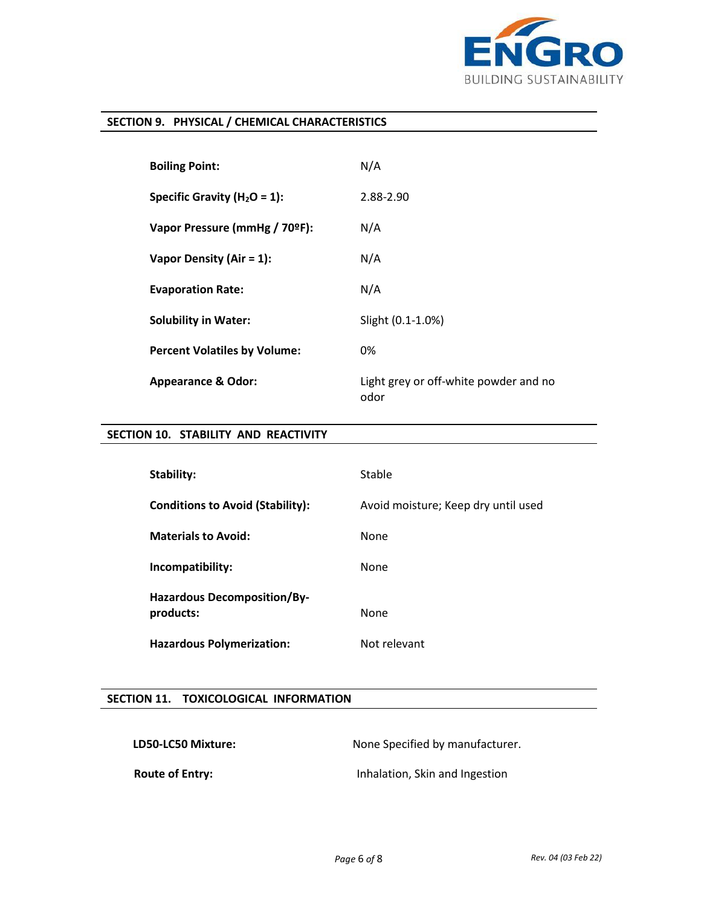

# **SECTION 9. PHYSICAL / CHEMICAL CHARACTERISTICS**

| <b>Boiling Point:</b>               | N/A                                           |
|-------------------------------------|-----------------------------------------------|
| Specific Gravity ( $H_2O = 1$ ):    | 2.88-2.90                                     |
| Vapor Pressure (mmHg / 70ºF):       | N/A                                           |
| Vapor Density (Air = $1$ ):         | N/A                                           |
| <b>Evaporation Rate:</b>            | N/A                                           |
| <b>Solubility in Water:</b>         | Slight (0.1-1.0%)                             |
| <b>Percent Volatiles by Volume:</b> | 0%                                            |
| <b>Appearance &amp; Odor:</b>       | Light grey or off-white powder and no<br>odor |

# **SECTION 10. STABILITY AND REACTIVITY**

| <b>Stability:</b>                               | Stable                              |
|-------------------------------------------------|-------------------------------------|
| <b>Conditions to Avoid (Stability):</b>         | Avoid moisture; Keep dry until used |
| <b>Materials to Avoid:</b>                      | None                                |
| Incompatibility:                                | None                                |
| <b>Hazardous Decomposition/By-</b><br>products: | None                                |
| <b>Hazardous Polymerization:</b>                | Not relevant                        |

## **SECTION 11. TOXICOLOGICAL INFORMATION**

LD50-LC50 Mixture: None Specified by manufacturer.

**Route of Entry: Inhalation, Skin and Ingestion**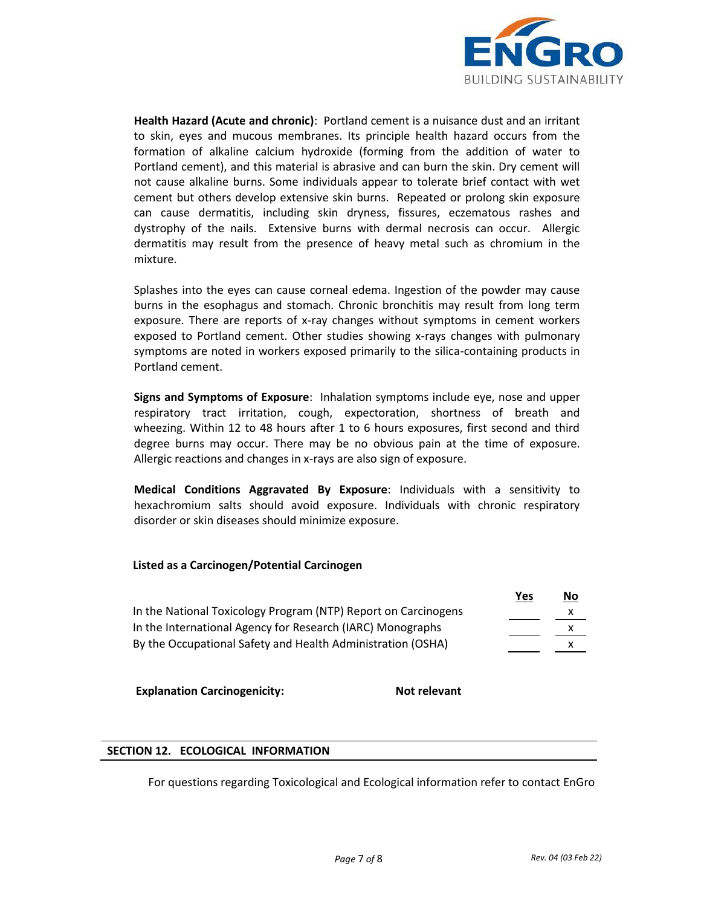

**Health Hazard (Acute and chronic)**:Portland cement is a nuisance dust and an irritant to skin, eyes and mucous membranes. Its principle health hazard occurs from the formation of alkaline calcium hydroxide (forming from the addition of water to Portland cement), and this material is abrasive and can burn the skin. Dry cement will not cause alkaline burns. Some individuals appear to tolerate brief contact with wet cement but others develop extensive skin burns. Repeated or prolong skin exposure can cause dermatitis, including skin dryness, fissures, eczematous rashes and dystrophy of the nails. Extensive burns with dermal necrosis can occur. Allergic dermatitis may result from the presence of heavy metal such as chromium in the mixture.

Splashes into the eyes can cause corneal edema. Ingestion of the powder may cause burns in the esophagus and stomach. Chronic bronchitis may result from long term exposure. There are reports of x-ray changes without symptoms in cement workers exposed to Portland cement. Other studies showing x-rays changes with pulmonary symptoms are noted in workers exposed primarily to the silica-containing products in Portland cement.

**Signs and Symptoms of Exposure**:Inhalation symptoms include eye, nose and upper respiratory tract irritation, cough, expectoration, shortness of breath and wheezing. Within 12 to 48 hours after 1 to 6 hours exposures, first second and third degree burns may occur. There may be no obvious pain at the time of exposure. Allergic reactions and changes in x-rays are also sign of exposure.

**Medical Conditions Aggravated By Exposure**: Individuals with a sensitivity to hexachromium salts should avoid exposure. Individuals with chronic respiratory disorder or skin diseases should minimize exposure.

## **Listed as a Carcinogen/Potential Carcinogen**

|                                                                | Yes | $\underline{\mathsf{No}}$ |
|----------------------------------------------------------------|-----|---------------------------|
| In the National Toxicology Program (NTP) Report on Carcinogens |     | x                         |
| In the International Agency for Research (IARC) Monographs     |     |                           |
| By the Occupational Safety and Health Administration (OSHA)    |     |                           |

**Explanation Carcinogenicity:** Not relevant

## **SECTION 12. ECOLOGICAL INFORMATION**

For questions regarding Toxicological and Ecological information refer to contact EnGro